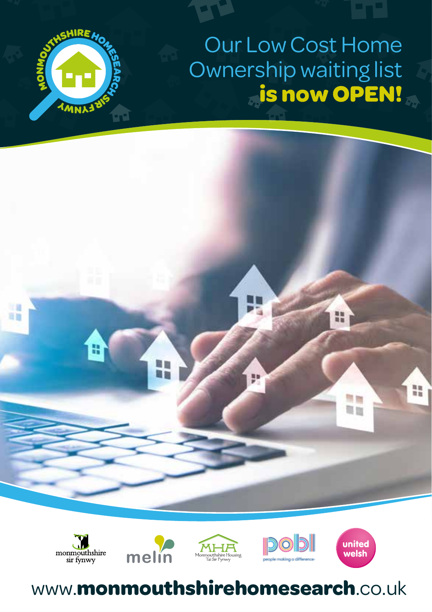

# Our Low Cost Home Ownership waiting list **is now OPEN!**





## www.**monmouthshirehomesearch**.co.uk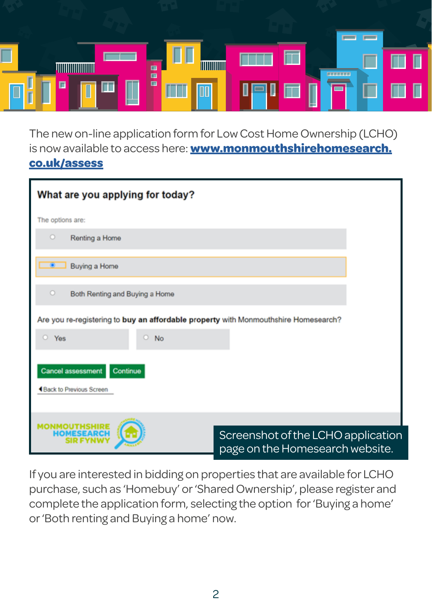

The new on-line application form for Low Cost Home Ownership (LCHO) is now available to access here: **[www.monmouthshirehomesearch.](http://www.monmouthshirehomesearch.co.uk/assess) [co.uk/assess](http://www.monmouthshirehomesearch.co.uk/assess)**

| What are you applying for today?                                                    |                                                                       |
|-------------------------------------------------------------------------------------|-----------------------------------------------------------------------|
| The options are:                                                                    |                                                                       |
| $\circ$<br>Renting a Home                                                           |                                                                       |
| Buying a Home<br>$\bullet$                                                          |                                                                       |
| $\circ$<br>Both Renting and Buying a Home                                           |                                                                       |
| Are you re-registering to buy an affordable property with Monmouthshire Homesearch? |                                                                       |
| $\circ$<br>Yes<br>o<br><b>No</b>                                                    |                                                                       |
| Cancel assessment<br>Continue<br><b>4 Back to Previous Screen</b>                   |                                                                       |
|                                                                                     |                                                                       |
|                                                                                     | Screenshot of the LCHO application<br>page on the Homesearch website. |

If you are interested in bidding on properties that are available for LCHO purchase, such as 'Homebuy' or 'Shared Ownership', please register and complete the application form, selecting the option for 'Buying a home' or 'Both renting and Buying a home' now.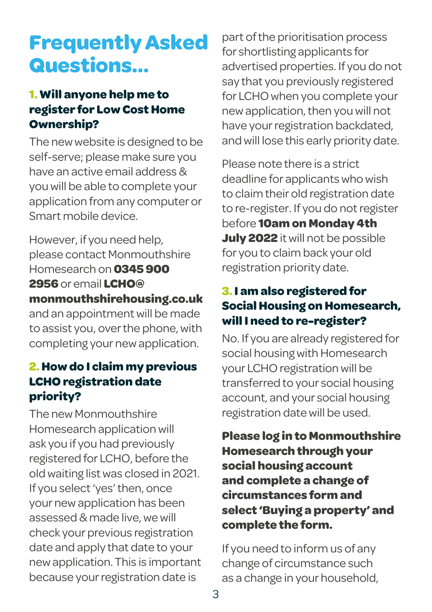## **Frequently Asked Questions...**

### **1. Will anyone help me to register for Low Cost Home Ownership?**

The new website is designed to be self-serve; please make sure you have an active email address & you will be able to complete your application from any computer or Smart mobile device.

However, if you need help, please contact Monmouthshire Homesearch on **0345 900 2956** or email **LCHO@ monmouthshirehousing.co.uk** and an appointment will be made to assist you, over the phone, with completing your new application.

#### **2. How do I claim my previous LCHO registration date priority?**

The new Monmouthshire Homesearch application will ask you if you had previously registered for LCHO, before the old waiting list was closed in 2021. If you select 'yes' then, once your new application has been assessed & made live, we will check your previous registration date and apply that date to your new application. This is important because your registration date is

part of the prioritisation process for shortlisting applicants for advertised properties. If you do not say that you previously registered for LCHO when you complete your new application, then you will not have your registration backdated, and will lose this early priority date.

Please note there is a strict deadline for applicants who wish to claim their old registration date to re-register. If you do not register before **10am on Monday 4th July 2022** it will not be possible for you to claim back your old registration priority date.

#### **3. I am also registered for Social Housing on Homesearch, will I need to re-register?**

No. If you are already registered for social housing with Homesearch your LCHO registration will be transferred to your social housing account, and your social housing registration date will be used.

**Please log in to Monmouthshire Homesearch through your social housing account and complete a change of circumstances form and select 'Buying a property' and complete the form.**

If you need to inform us of any change of circumstance such as a change in your household,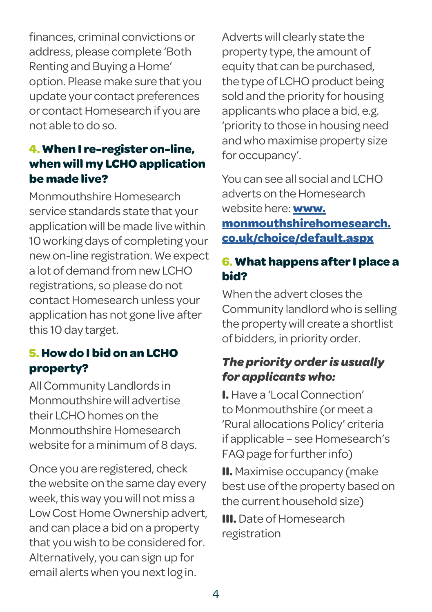finances, criminal convictions or address, please complete 'Both Renting and Buying a Home' option. Please make sure that you update your contact preferences or contact Homesearch if you are not able to do so.

#### **4. When I re-register on-line, when will my LCHO application be made live?**

Monmouthshire Homesearch service standards state that your application will be made live within 10 working days of completing your new on-line registration. We expect a lot of demand from new LCHO registrations, so please do not contact Homesearch unless your application has not gone live after this 10 day target.

#### **5. How do I bid on an LCHO property?**

All Community Landlords in Monmouthshire will advertise their LCHO homes on the Monmouthshire Homesearch website for a minimum of 8 days.

Once you are registered, check the website on the same day every week, this way you will not miss a Low Cost Home Ownership advert, and can place a bid on a property that you wish to be considered for. Alternatively, you can sign up for email alerts when you next log in.

Adverts will clearly state the property type, the amount of equity that can be purchased, the type of LCHO product being sold and the priority for housing applicants who place a bid, e.g. 'priority to those in housing need and who maximise property size for occupancy'.

You can see all social and LCHO adverts on the Homesearch website here: **[www.](http://www.monmouthshirehomesearch.co.uk/choice/default.aspx) [monmouthshirehomesearch.](http://www.monmouthshirehomesearch.co.uk/choice/default.aspx) [co.uk/choice/default.aspx](http://www.monmouthshirehomesearch.co.uk/choice/default.aspx)**

#### **6. What happens after I place a bid?**

When the advert closes the Community landlord who is selling the property will create a shortlist of bidders, in priority order.

#### *The priority order is usually for applicants who:*

**I.** Have a 'Local Connection' to Monmouthshire (or meet a 'Rural allocations Policy' criteria if applicable – see Homesearch's FAQ page for further info)

**II.** Maximise occupancy (make best use of the property based on the current household size)

**III.** Date of Homesearch registration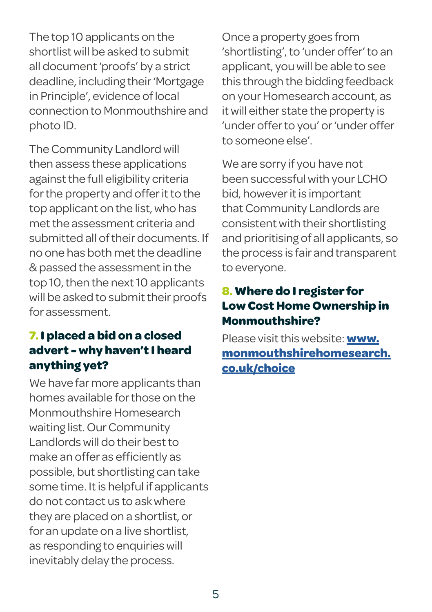The top 10 applicants on the shortlist will be asked to submit all document 'proofs' by a strict deadline, including their 'Mortgage in Principle', evidence of local connection to Monmouthshire and photo ID.

The Community Landlord will then assess these applications against the full eligibility criteria for the property and offer it to the top applicant on the list, who has met the assessment criteria and submitted all of their documents. If no one has both met the deadline & passed the assessment in the top 10, then the next 10 applicants will be asked to submit their proofs for assessment.

#### **7. I placed a bid on a closed advert - why haven't I heard anything yet?**

We have far more applicants than homes available for those on the Monmouthshire Homesearch waiting list. Our Community Landlords will do their best to make an offer as efficiently as possible, but shortlisting can take some time. It is helpful if applicants do not contact us to ask where they are placed on a shortlist, or for an update on a live shortlist, as responding to enquiries will inevitably delay the process.

Once a property goes from 'shortlisting', to 'under offer' to an applicant, you will be able to see this through the bidding feedback on your Homesearch account, as it will either state the property is 'under offer to you' or 'under offer to someone else'.

We are sorry if you have not been successful with your LCHO bid, however it is important that Community Landlords are consistent with their shortlisting and prioritising of all applicants, so the process is fair and transparent to everyone.

#### **8. Where do I register for Low Cost Home Ownership in Monmouthshire?**

Please visit this website: **[www.](http://www.monmouthshirehomesearch.co.uk/choice
) [monmouthshirehomesearch.](http://www.monmouthshirehomesearch.co.uk/choice
) [co.uk/choice](http://www.monmouthshirehomesearch.co.uk/choice
)**